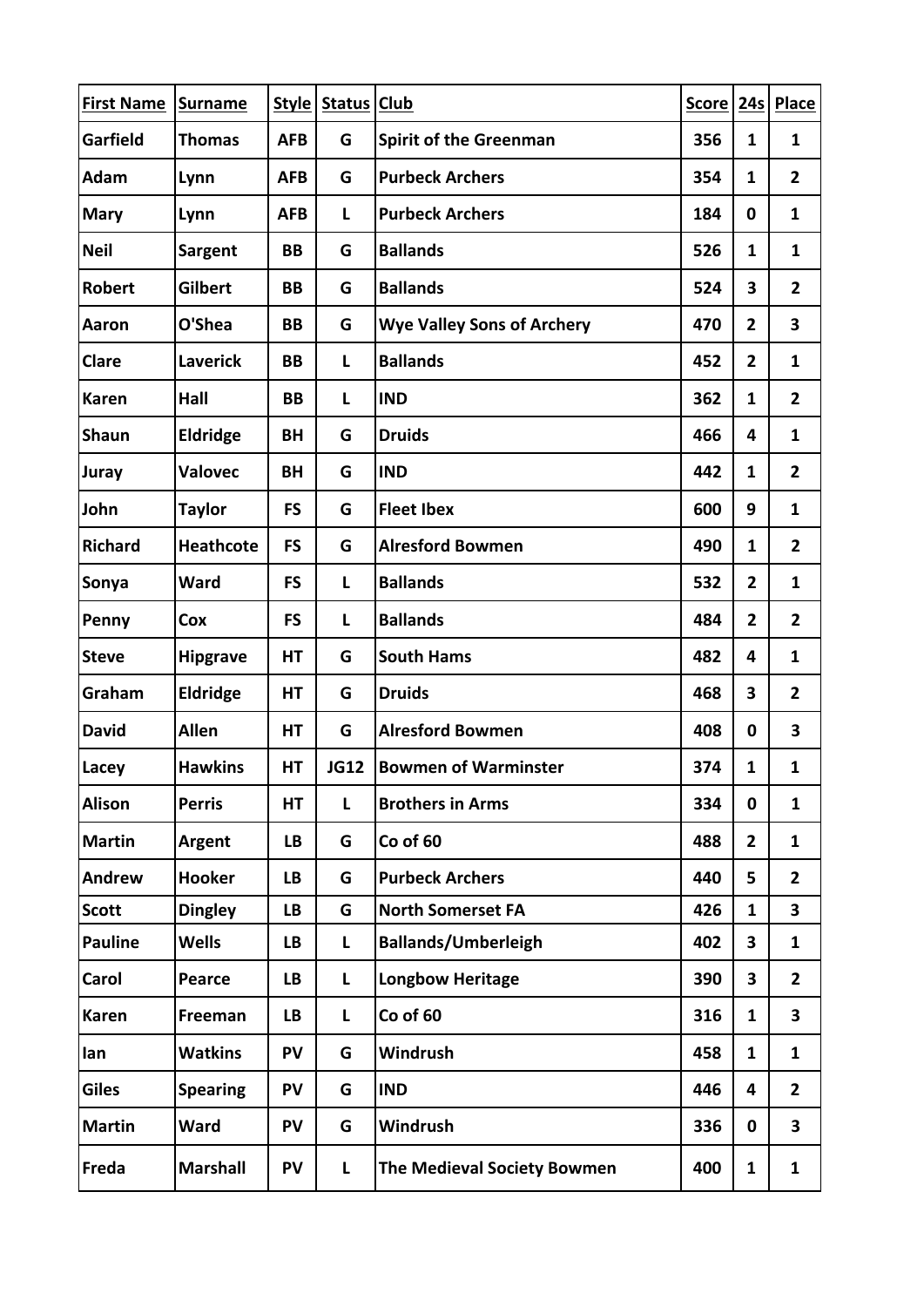| <b>First Name</b> | <b>Surname</b>   | Style      | <b>Status Club</b> |                                    | Score 24s |                | <b>Place</b>   |
|-------------------|------------------|------------|--------------------|------------------------------------|-----------|----------------|----------------|
| <b>Garfield</b>   | <b>Thomas</b>    | <b>AFB</b> | G                  | <b>Spirit of the Greenman</b>      | 356       | 1              | $\mathbf{1}$   |
| Adam              | Lynn             | <b>AFB</b> | G                  | <b>Purbeck Archers</b>             | 354       | $\mathbf{1}$   | $\overline{2}$ |
| <b>Mary</b>       | Lynn             | <b>AFB</b> | L                  | <b>Purbeck Archers</b>             | 184       | $\mathbf 0$    | $\mathbf{1}$   |
| <b>Neil</b>       | Sargent          | <b>BB</b>  | G                  | <b>Ballands</b>                    | 526       | $\mathbf{1}$   | $\mathbf{1}$   |
| <b>Robert</b>     | <b>Gilbert</b>   | <b>BB</b>  | G                  | <b>Ballands</b>                    | 524       | 3              | $\overline{2}$ |
| Aaron             | O'Shea           | <b>BB</b>  | G                  | <b>Wye Valley Sons of Archery</b>  | 470       | $\overline{2}$ | 3              |
| <b>Clare</b>      | <b>Laverick</b>  | <b>BB</b>  | L                  | <b>Ballands</b>                    | 452       | $\overline{2}$ | $\mathbf{1}$   |
| <b>Karen</b>      | Hall             | <b>BB</b>  | L                  | <b>IND</b>                         | 362       | $\mathbf{1}$   | $\overline{2}$ |
| <b>Shaun</b>      | Eldridge         | <b>BH</b>  | G                  | <b>Druids</b>                      | 466       | 4              | $\mathbf{1}$   |
| Juray             | <b>Valovec</b>   | <b>BH</b>  | G                  | <b>IND</b>                         | 442       | $\mathbf{1}$   | $\overline{2}$ |
| John              | <b>Taylor</b>    | <b>FS</b>  | G                  | <b>Fleet Ibex</b>                  | 600       | 9              | $\mathbf{1}$   |
| <b>Richard</b>    | <b>Heathcote</b> | <b>FS</b>  | G                  | <b>Alresford Bowmen</b>            | 490       | 1              | $\mathbf{2}$   |
| Sonya             | Ward             | <b>FS</b>  | L                  | <b>Ballands</b>                    | 532       | $\overline{2}$ | 1              |
| Penny             | <b>Cox</b>       | <b>FS</b>  | Г                  | <b>Ballands</b>                    | 484       | $\overline{2}$ | $\mathbf{2}$   |
| <b>Steve</b>      | <b>Hipgrave</b>  | HT         | G                  | <b>South Hams</b>                  | 482       | 4              | $\mathbf{1}$   |
| Graham            | <b>Eldridge</b>  | HT         | G                  | <b>Druids</b>                      | 468       | 3              | $\mathbf{2}$   |
| <b>David</b>      | <b>Allen</b>     | HT         | G                  | <b>Alresford Bowmen</b>            | 408       | $\mathbf 0$    | 3              |
| Lacey             | <b>Hawkins</b>   | HT         | <b>JG12</b>        | <b>Bowmen of Warminster</b>        | 374       | $\mathbf{1}$   | 1              |
| <b>Alison</b>     | <b>Perris</b>    | HT         | L                  | <b>Brothers in Arms</b>            | 334       | $\mathbf 0$    | $\mathbf{1}$   |
| <b>Martin</b>     | Argent           | <b>LB</b>  | G                  | Co of 60                           | 488       | $\overline{2}$ | $\mathbf{1}$   |
| Andrew            | <b>Hooker</b>    | <b>LB</b>  | G                  | <b>Purbeck Archers</b>             | 440       | 5              | $\overline{2}$ |
| <b>Scott</b>      | <b>Dingley</b>   | <b>LB</b>  | G                  | <b>North Somerset FA</b>           | 426       | $\mathbf{1}$   | 3              |
| <b>Pauline</b>    | <b>Wells</b>     | <b>LB</b>  | L                  | <b>Ballands/Umberleigh</b>         | 402       | 3              | $\mathbf{1}$   |
| Carol             | Pearce           | <b>LB</b>  | L                  | <b>Longbow Heritage</b>            | 390       | 3              | $\mathbf{2}$   |
| <b>Karen</b>      | Freeman          | <b>LB</b>  | Г                  | Co of 60                           | 316       | $\mathbf{1}$   | 3              |
| lan               | <b>Watkins</b>   | PV         | G                  | Windrush                           | 458       | $\mathbf{1}$   | $\mathbf{1}$   |
| <b>Giles</b>      | <b>Spearing</b>  | PV         | G                  | <b>IND</b>                         | 446       | 4              | $\overline{2}$ |
| <b>Martin</b>     | Ward             | PV         | G                  | Windrush                           | 336       | $\mathbf 0$    | 3              |
| Freda             | <b>Marshall</b>  | PV         | L                  | <b>The Medieval Society Bowmen</b> | 400       | 1              | 1              |